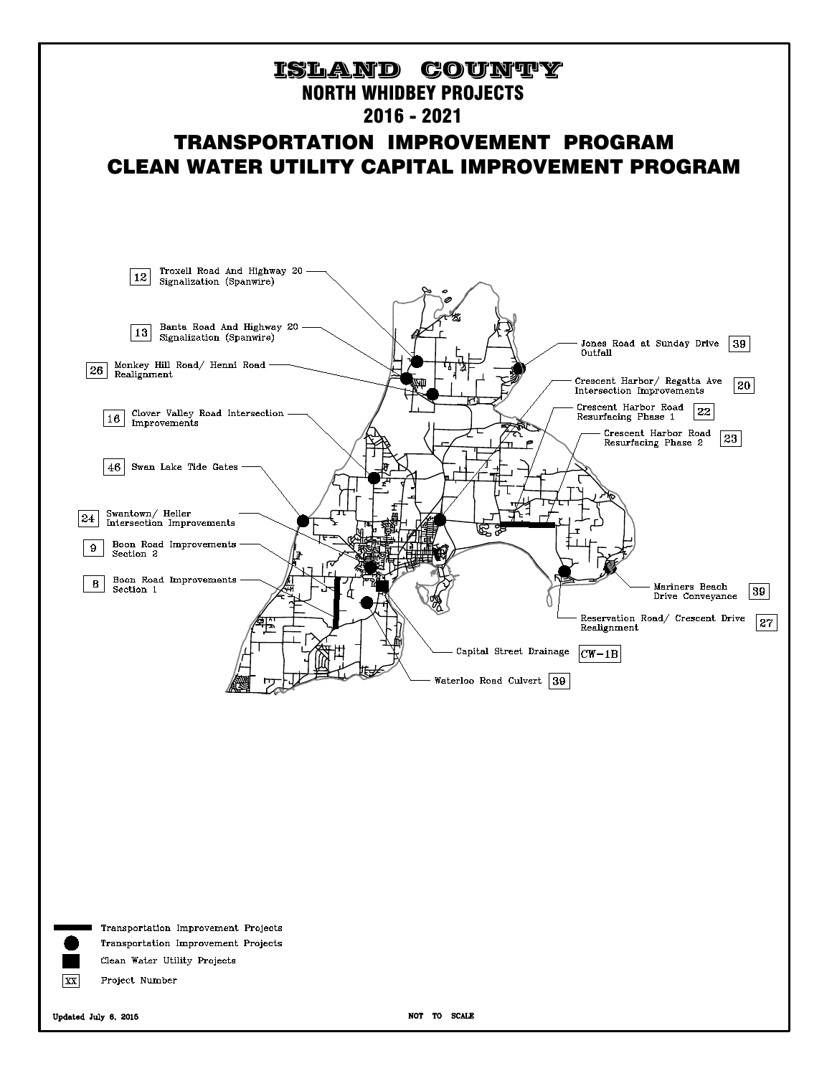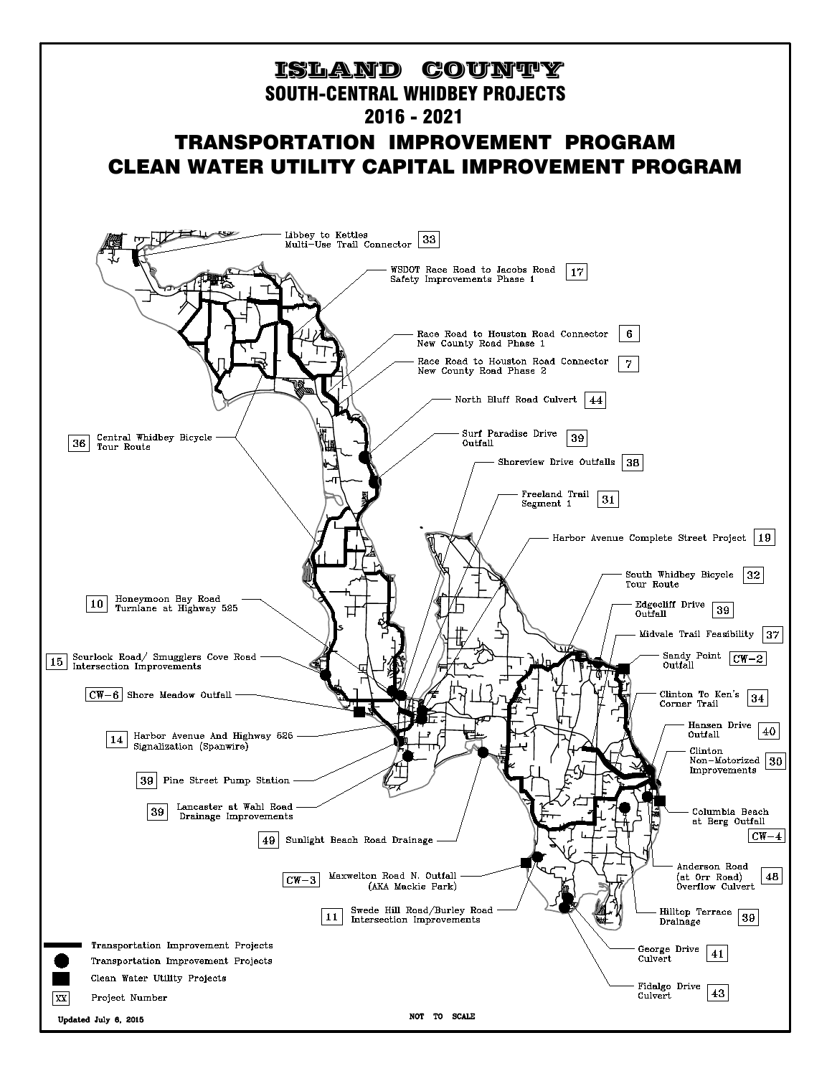![](_page_1_Figure_0.jpeg)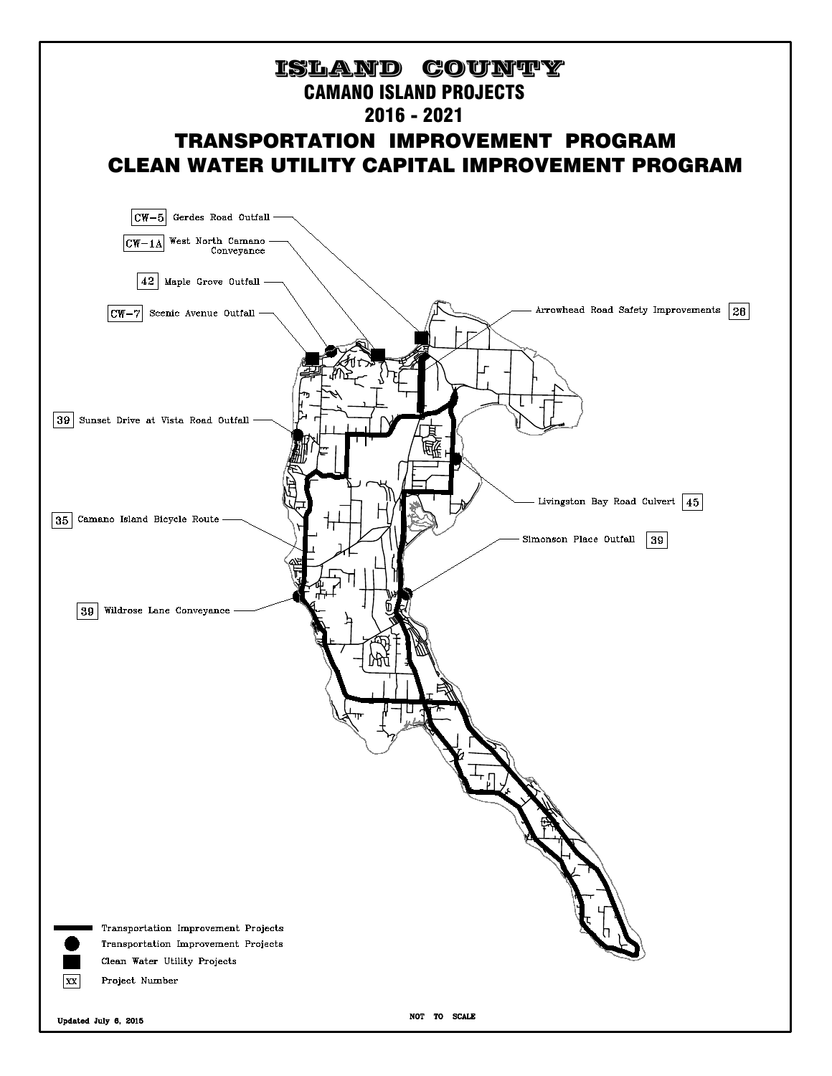![](_page_2_Figure_0.jpeg)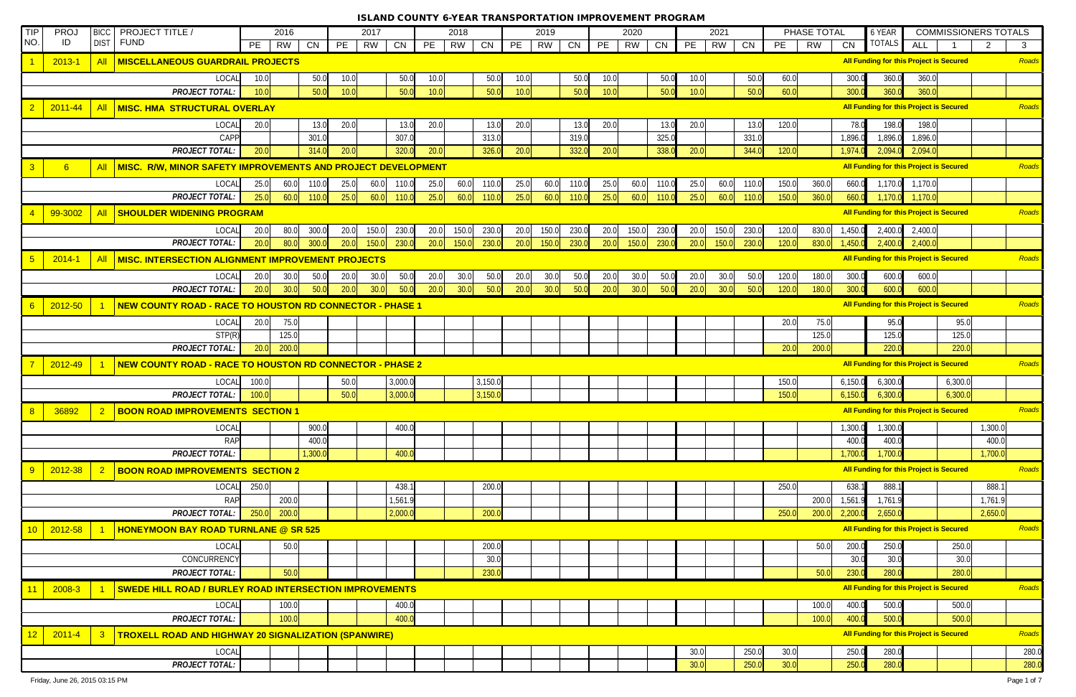| <b>TIP</b>      | PRO.          | <b>BICC</b>    | PROJECT TITLE /                                                 |       | 2016  |         |      | 2017  |              |           | 2018  |               |      | 2019  |       |      | 2020      |           |              | 2021  |                |              | PHASE TOTAL |                | 6 YEAR                                           |            | <b>COMMISSIONERS TOTALS</b> |                |                |
|-----------------|---------------|----------------|-----------------------------------------------------------------|-------|-------|---------|------|-------|--------------|-----------|-------|---------------|------|-------|-------|------|-----------|-----------|--------------|-------|----------------|--------------|-------------|----------------|--------------------------------------------------|------------|-----------------------------|----------------|----------------|
| NO.             | ID            | <b>DIST</b>    | <b>FUND</b>                                                     | PE    | RW    | CN      | PE   | RW    | CN           | <b>PE</b> | RW    | CN            | PE   | RW    | CN    | PE   | <b>RW</b> | <b>CN</b> | PE           | RW    | CN             | PE           | <b>RW</b>   | CN             | TOTALS                                           | <b>ALL</b> |                             | $\overline{2}$ | $\mathbf{3}$   |
|                 | $2013 - 1$    | <b>All</b>     | <b>MISCELLANEOUS GUARDRAIL PROJECTS</b>                         |       |       |         |      |       |              |           |       |               |      |       |       |      |           |           |              |       |                |              |             |                | All Funding for this Project is Secured          |            |                             |                | Roads          |
|                 |               |                | LOCAL                                                           | 10.0  |       | 50.0    | 10.0 |       | 50.0         | 10.0      |       | 50.0          | 10.0 |       | 50.0  | 10.0 |           | 50.0      | 10.0         |       | 50.0           | 60.0         |             | 300.0          | 360.0                                            | 360.0      |                             |                |                |
|                 |               |                | <b>PROJECT TOTAL:</b>                                           | 10.0  |       | 50.0    | 10.0 |       | 50.0         | 10.0      |       | 50.0          | 10.0 |       | 50.0  | 10.0 |           | 50.0      | 10.0         |       | 50.0           | 60.0         |             | 300.0          | 360.0                                            | 360.0      |                             |                |                |
| $\overline{2}$  | $2011 - 44$   | <b>All</b>     | <b>MISC. HMA STRUCTURAL OVERLAY</b>                             |       |       |         |      |       |              |           |       |               |      |       |       |      |           |           |              |       |                |              |             |                | All Funding for this Project is Secured          |            |                             |                | Roads          |
|                 |               |                | LOCAL                                                           | 20.0  |       | 13.0    | 20.0 |       | 13.0         | 20.0      |       | 13.0          | 20.0 |       | 13.0  | 20.0 |           | 13.0      | 20.0         |       | 13.0           | 120.0        |             | 78.0           | 198.0                                            | 198.0      |                             |                |                |
|                 |               |                | CAPP                                                            |       |       | 301.0   |      |       | 307.0        |           |       | 313.0         |      |       | 319.0 |      |           | 325.0     |              |       | 331.0          |              |             | 1,896.0        | 1,896.0                                          | 1,896.0    |                             |                |                |
|                 |               |                | <b>PROJECT TOTAL:</b>                                           | 20.0  |       | 314.0   | 20.0 |       | 320.0        | 20.0      |       | 326.0         | 20.0 |       | 332.0 | 20.0 |           | 338.0     | 20.0         |       | 344.0          | 120.0        |             | 1,974.         | 2,094.0                                          | 2,094.0    |                             |                |                |
|                 | $6^{\circ}$   | <b>All</b>     | │ MISC.  R/W, MINOR SAFETY IMPROVEMENTS AND PROJECT DEVELOPMENT |       |       |         |      |       |              |           |       |               |      |       |       |      |           |           |              |       |                |              |             |                | <b>All Funding for this Project is Secured</b>   |            |                             |                | Roads          |
|                 |               |                | LOCAL                                                           | 25.0  | 60.0  | 110.0   | 25.0 | 60.0  | 110.0        | 25.0      | 60.0  | 110.0         | 25.0 | 60.0  | 110.0 | 25.0 | 60.0      | 110.0     | 25.0         | 60.0  | 110.0          | 150.0        | 360.0       | 660.0          | 1,170.0                                          | 1,170.0    |                             |                |                |
|                 |               |                | <b>PROJECT TOTAL:</b>                                           | 25.0  | 60.0  | 110.0   | 25.0 |       | $60.0$ 110.0 | 25.0      | 60.0  | 110.0         | 25.0 | 60.0  | 110.0 | 25.0 | 60.0      | 110.0     | 25.0         | 60.0  | 110.0          | 150.0        | 360.0       | 660.0          | 1,170.0                                          | 1,170.0    |                             |                |                |
|                 | 99-3002       | <b>All</b>     | <b>SHOULDER WIDENING PROGRAM</b>                                |       |       |         |      |       |              |           |       |               |      |       |       |      |           |           |              |       |                |              |             |                | All Funding for this Project is Secured          |            |                             |                | Roads          |
|                 |               |                | LOCAL                                                           | 20.0  | 80.0  | 300.0   | 20.0 | 150.0 | 230.0        | 20.0      | 150.0 | 230.0         | 20.0 | 150.0 | 230.0 | 20.0 | 150.0     | 230.0     | 20.0         | 150.0 | 230.0          | 120.0        | 830.0       | 1,450.0        | 2,400.0                                          | 2,400.0    |                             |                |                |
|                 |               |                | <b>PROJECT TOTAL:</b>                                           | 20.0  | 80.0  | 300.0   | 20.0 | 150.0 | 230.0        | 20.0      | 150.0 | 230.0         | 20.0 | 150.0 | 230.0 | 20.0 | 150.0     | 230.0     | 20.0         | 150.0 | 230.0          | 120.0        | 830.0       | 1,450.0        | 2,400.0                                          | 2,400.0    |                             |                |                |
| $5\overline{)}$ | $2014 - 1$    | <b>All</b>     | <b>MISC. INTERSECTION ALIGNMENT IMPROVEMENT PROJECTS</b>        |       |       |         |      |       |              |           |       |               |      |       |       |      |           |           |              |       |                |              |             |                | All Funding for this Project is Secured          |            |                             |                | Roads          |
|                 |               |                | LOCAL                                                           | 20.0  | 30.0  | 50.0    | 20.0 | 30.0  | 50.0         | 20.0      | 30.0  | 50.0          | 20.0 | 30.0  | 50.0  | 20.0 | 30.0      | 50.0      | 20.0         | 30.0  | 50.0           | 120.0        | 180.0       | 300.0          | 600.0                                            | 600.0      |                             |                |                |
|                 |               |                | <b>PROJECT TOTAL:</b>                                           | 20.0  | 30.0  | 50.0    | 20.0 | 30.0  | 50.0         | 20.0      | 30.0  | 50.0          | 20.0 | 30.0  | 50.0  | 20.0 | 30.0      | 50.0      | 20.0         | 30.0  | 50.0           | 120.0        | 180.0       | 300.0          | 600.0                                            | 600.0      |                             |                |                |
| 6               | 2012-50       |                | <b>NEW COUNTY ROAD - RACE TO HOUSTON RD CONNECTOR - PHASE 1</b> |       |       |         |      |       |              |           |       |               |      |       |       |      |           |           |              |       |                |              |             |                | All Funding for this Project is Secured          |            |                             |                | Roads          |
|                 |               |                | <b>LOCAL</b>                                                    | 20.0  | 75.0  |         |      |       |              |           |       |               |      |       |       |      |           |           |              |       |                | 20.0         | 75.0        |                | 95.0                                             |            | 95.0                        |                |                |
|                 |               |                | STP(R)                                                          |       | 125.0 |         |      |       |              |           |       |               |      |       |       |      |           |           |              |       |                |              | 125.0       |                | 125.0                                            |            | 125.0                       |                |                |
|                 |               |                | <b>PROJECT TOTAL:</b>                                           | 20.0  | 200.0 |         |      |       |              |           |       |               |      |       |       |      |           |           |              |       |                | 20.0         | 200.0       |                | 220.0                                            |            | 220.0                       |                |                |
|                 | 2012-49       |                | <b>NEW COUNTY ROAD - RACE TO HOUSTON RD CONNECTOR - PHASE 2</b> |       |       |         |      |       |              |           |       |               |      |       |       |      |           |           |              |       |                |              |             |                | All Funding for this Project is Secured          |            |                             |                | Roads          |
|                 |               |                | LOCAL                                                           | 100.0 |       |         | 50.0 |       | 3,000.0      |           |       | 3,150.0       |      |       |       |      |           |           |              |       |                | 150.0        |             | 6,150.0        | 6,300.0                                          |            | 6,300.0                     |                |                |
|                 |               |                | <b>PROJECT TOTAL:</b>                                           | 100.0 |       |         | 50.0 |       | 3,000.0      |           |       | 3,150.0       |      |       |       |      |           |           |              |       |                | 150.0        |             | 6,150.0        | 6,300.0                                          |            | 6,300.0                     |                |                |
| 8               | 36892         | $\overline{2}$ | <b>BOON ROAD IMPROVEMENTS SECTION 1</b>                         |       |       |         |      |       |              |           |       |               |      |       |       |      |           |           |              |       |                |              |             |                | All Funding for this Project is Secured          |            |                             |                | Roads          |
|                 |               |                | LOCAL                                                           |       |       | 900.0   |      |       | 400.0        |           |       |               |      |       |       |      |           |           |              |       |                |              |             | 1,300.0        | 1,300.0                                          |            |                             | 1,300.0        |                |
|                 |               |                | <b>RAP</b>                                                      |       |       | 400.0   |      |       |              |           |       |               |      |       |       |      |           |           |              |       |                |              |             | 400.0          | 400.0                                            |            |                             | 400.0          |                |
|                 |               |                | <b>PROJECT TOTAL:</b>                                           |       |       | 1,300.0 |      |       | 400.0        |           |       |               |      |       |       |      |           |           |              |       |                |              |             | 1,700.0        | 1,700.0                                          |            |                             | 1,700.0        |                |
| 9               | $ 2012 - 38 $ | $\overline{2}$ | <b>BOON ROAD IMPROVEMENTS SECTION 2</b>                         |       |       |         |      |       |              |           |       |               |      |       |       |      |           |           |              |       |                |              |             |                | All Funding for this Project is Secured          |            |                             |                | Roads          |
|                 |               |                | <b>LOCAL</b>                                                    | 250.0 |       |         |      |       | 438.1        |           |       | 200.0         |      |       |       |      |           |           |              |       |                | 250.0        |             | 638.1          | 888.1                                            |            |                             | 888.1          |                |
|                 |               |                | <b>RAP</b>                                                      |       | 200.0 |         |      |       | 1,561.9      |           |       |               |      |       |       |      |           |           |              |       |                |              | 200.0       | 1,561.9        | 1,761.9                                          |            |                             | 1,761.9        |                |
|                 |               |                | <b>PROJECT TOTAL:</b>                                           | 250.0 | 200.0 |         |      |       | 2,000.0      |           |       | 200.0         |      |       |       |      |           |           |              |       |                | 250.0        | 200.0       | 2,200.0        | 2,650.0                                          |            |                             | 2,650.0        |                |
|                 | 2012-58       |                | <b>HONEYMOON BAY ROAD TURNLANE @ SR 525</b>                     |       |       |         |      |       |              |           |       |               |      |       |       |      |           |           |              |       |                |              |             |                | All Funding for this Project is Secured          |            |                             |                | Roads          |
|                 |               |                | LOCAL                                                           |       | 50.0  |         |      |       |              |           |       | 200.0         |      |       |       |      |           |           |              |       |                |              | 50.0        | 200.0          | 250.0                                            |            | 250.0                       |                |                |
|                 |               |                | CONCURRENCY<br><b>PROJECT TOTAL:</b>                            |       | 50.0  |         |      |       |              |           |       | 30.0<br>230.0 |      |       |       |      |           |           |              |       |                |              | 50.0        | 30.0<br>230.0  | 30.0<br>280.0                                    |            | 30.0<br>280.0               |                |                |
|                 |               |                |                                                                 |       |       |         |      |       |              |           |       |               |      |       |       |      |           |           |              |       |                |              |             |                |                                                  |            |                             |                | Roads          |
|                 | 2008-3        |                | <b>SWEDE HILL ROAD / BURLEY ROAD INTERSECTION IMPROVEMENTS</b>  |       |       |         |      |       |              |           |       |               |      |       |       |      |           |           |              |       |                |              |             |                | All Funding for this Project is Secured          |            |                             |                |                |
|                 |               |                | LOCAL                                                           |       | 100.0 |         |      |       | 400.0        |           |       |               |      |       |       |      |           |           |              |       |                |              | 100.0       | 400.0          | 500.0                                            |            | 500.0                       |                |                |
|                 |               |                | <b>PROJECT TOTAL:</b>                                           |       | 100.0 |         |      |       | 400.0        |           |       |               |      |       |       |      |           |           |              |       |                |              | 100.0       | 400.0          | 500.0<br>All Funding for this Project is Secured |            | 500.0                       |                | Roads          |
|                 | $2011 - 4$    | -3             | <b>TROXELL ROAD AND HIGHWAY 20 SIGNALIZATION (SPANWIRE)</b>     |       |       |         |      |       |              |           |       |               |      |       |       |      |           |           |              |       |                |              |             |                |                                                  |            |                             |                |                |
|                 |               |                | LOCAL<br><b>PROJECT TOTAL:</b>                                  |       |       |         |      |       |              |           |       |               |      |       |       |      |           |           | 30.0<br>30.0 |       | 250.0<br>250.0 | 30.0<br>30.0 |             | 250.0<br>250.0 | 280.0<br>280.0                                   |            |                             |                | 280.0<br>280.0 |
|                 |               |                |                                                                 |       |       |         |      |       |              |           |       |               |      |       |       |      |           |           |              |       |                |              |             |                |                                                  |            |                             |                |                |

Friday, June 26, 2015 03:15 PM Page 1 of 7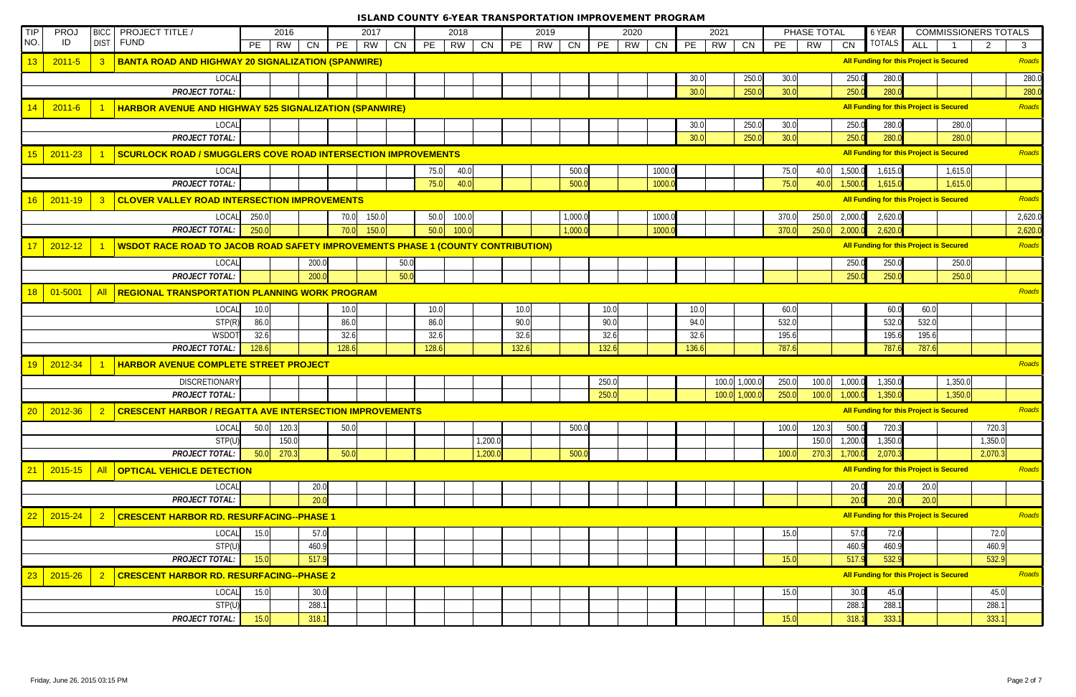| TIP | PRO.        | <b>BICC</b>             | PROJECT TITLE /                                                                        |       | 2016         |       | 2017          |      | 2018          |         |       | 2019            |       | 2020 |        | 2021            |                 |       | PHASE TOTAL      | 6 YEAR        | <b>COMMISSIONERS TOTALS</b>                    |                |              |
|-----|-------------|-------------------------|----------------------------------------------------------------------------------------|-------|--------------|-------|---------------|------|---------------|---------|-------|-----------------|-------|------|--------|-----------------|-----------------|-------|------------------|---------------|------------------------------------------------|----------------|--------------|
| NO. | ID          | <b>DIST</b>             | <b>FUND</b>                                                                            | PE    | RW<br>CN     | PE    | RW            | CN   | PE<br>RW      | CN      | PE    | <b>RW</b><br>CN | PE    | RW   | CN     | <b>RW</b><br>PE | CN              | PE    | CN<br><b>RW</b>  | <b>TOTALS</b> | <b>ALL</b>                                     | $\overline{2}$ | $\mathbf{3}$ |
| 13  | $2011 - 5$  | $\mathbf{3}$            | <b>BANTA ROAD AND HIGHWAY 20 SIGNALIZATION (SPANWIRE)</b>                              |       |              |       |               |      |               |         |       |                 |       |      |        |                 |                 |       |                  |               | <b>All Funding for this Project is Secured</b> |                | Roads        |
|     |             |                         | LOCAL                                                                                  |       |              |       |               |      |               |         |       |                 |       |      |        | 30.0            | 250.0           | 30.0  | 250.0            | 280.0         |                                                |                | 280.0        |
|     |             |                         | <b>PROJECT TOTAL:</b>                                                                  |       |              |       |               |      |               |         |       |                 |       |      |        | 30.0            | 250.0           | 30.0  | 250.0            | 280.0         |                                                |                | 280.0        |
| 14  | $2011 - 6$  |                         | <b>HARBOR AVENUE AND HIGHWAY 525 SIGNALIZATION (SPANWIRE)</b>                          |       |              |       |               |      |               |         |       |                 |       |      |        |                 |                 |       |                  |               | All Funding for this Project is Secured        |                | Roads        |
|     |             |                         | LOCAL                                                                                  |       |              |       |               |      |               |         |       |                 |       |      |        | 30.0            | 250.0           | 30.0  | 250.0            | 280.0         | 280.0                                          |                |              |
|     |             |                         | <b>PROJECT TOTAL:</b>                                                                  |       |              |       |               |      |               |         |       |                 |       |      |        | 30.0            | 250.0           | 30.0  | 250.0            | 280.0         | 280.0                                          |                |              |
| 15  | 2011-23     |                         | <b>SCURLOCK ROAD / SMUGGLERS COVE ROAD INTERSECTION IMPROVEMENTS</b>                   |       |              |       |               |      |               |         |       |                 |       |      |        |                 |                 |       |                  |               | All Funding for this Project is Secured        |                | Roads        |
|     |             |                         | LOCAL                                                                                  |       |              |       |               |      | 75.0<br>40.0  |         |       | 500.0           |       |      | 1000.0 |                 |                 | 75.0  | 1,500.0<br>40.0  | 1,615.0       | 1,615.0                                        |                |              |
|     |             |                         | <b>PROJECT TOTAL:</b>                                                                  |       |              |       |               |      | 40.0<br>75.0  |         |       | 500.0           |       |      | 1000.0 |                 |                 | 75.0  | 40.0<br>1,500.0  | 1,615.0       | 1,615.0                                        |                |              |
| 16  | 2011-19     | $\overline{\mathbf{3}}$ | <b>CLOVER VALLEY ROAD INTERSECTION IMPROVEMENTS</b>                                    |       |              |       |               |      |               |         |       |                 |       |      |        |                 |                 |       |                  |               | All Funding for this Project is Secured        |                | Roads        |
|     |             |                         | LOCAL                                                                                  | 250.0 |              | 70.0  | 150.0         |      | 50.0<br>100.0 |         |       | 1,000.0         |       |      | 1000.0 |                 |                 | 370.0 | 250.0<br>2,000.0 | 2,620.0       |                                                |                | 2,620.0      |
|     |             |                         | <b>PROJECT TOTAL:</b>                                                                  | 250.0 |              |       | 150.0<br>70.0 |      | 100.0<br>50.0 |         |       | 1,000.0         |       |      | 1000.0 |                 |                 | 370.0 | 250.0<br>2,000.  | 2,620.0       |                                                |                | 2,620.0      |
| 17  | $2012 - 12$ |                         | <b>WSDOT RACE ROAD TO JACOB ROAD SAFETY IMPROVEMENTS PHASE 1 (COUNTY CONTRIBUTION)</b> |       |              |       |               |      |               |         |       |                 |       |      |        |                 |                 |       |                  |               | <b>All Funding for this Project is Secured</b> |                | Roads        |
|     |             |                         | LOCAL                                                                                  |       | 200.0        |       |               | 50.0 |               |         |       |                 |       |      |        |                 |                 |       | 250.0            | 250.0         | 250.0                                          |                |              |
|     |             |                         | <b>PROJECT TOTAL:</b>                                                                  |       | 200.0        |       |               | 50.0 |               |         |       |                 |       |      |        |                 |                 |       | 250.0            | 250.0         | 250.0                                          |                |              |
| 18  | $01 - 5001$ | AII                     | <b>REGIONAL TRANSPORTATION PLANNING WORK PROGRAM</b>                                   |       |              |       |               |      |               |         |       |                 |       |      |        |                 |                 |       |                  |               |                                                |                | Roads        |
|     |             |                         | LOCAL                                                                                  | 10.0  |              | 10.0  |               |      | 10.0          |         | 10.0  |                 | 10.0  |      |        | 10.0            |                 | 60.0  |                  | 60.0          | 60.0                                           |                |              |
|     |             |                         | STP(R)                                                                                 | 86.0  |              | 86.0  |               |      | 86.0          |         | 90.0  |                 | 90.0  |      |        | 94.0            |                 | 532.0 |                  | 532.0         | 532.0                                          |                |              |
|     |             |                         | <b>WSDOT</b>                                                                           | 32.6  |              | 32.6  |               |      | 32.6          |         | 32.6  |                 | 32.6  |      |        | 32.6            |                 | 195.6 |                  | 195.6         | 195.6                                          |                |              |
|     |             |                         | <b>PROJECT TOTAL:</b>                                                                  | 128.6 |              | 128.6 |               |      | 128.6         |         | 132.6 |                 | 132.6 |      |        | 136.6           |                 | 787.6 |                  | 787.6         | 787.6                                          |                |              |
| 19  | 2012-34     |                         | <b>HARBOR AVENUE COMPLETE STREET PROJECT</b>                                           |       |              |       |               |      |               |         |       |                 |       |      |        |                 |                 |       |                  |               |                                                |                | Roads        |
|     |             |                         | <b>DISCRETIONARY</b>                                                                   |       |              |       |               |      |               |         |       |                 | 250.0 |      |        |                 | $100.0$ 1,000.0 | 250.0 | 100.0<br>1,000.0 | 1,350.0       | 1,350.0                                        |                |              |
|     |             |                         | <b>PROJECT TOTAL:</b>                                                                  |       |              |       |               |      |               |         |       |                 | 250.0 |      |        |                 | $100.0$ 1,000.  | 250.0 | 100.0<br>1,000.  | 1,350.0       | 1,350.0                                        |                |              |
| 20  | 2012-36     | $\overline{2}$          | <b>CRESCENT HARBOR / REGATTA AVE INTERSECTION IMPROVEMENTS</b>                         |       |              |       |               |      |               |         |       |                 |       |      |        |                 |                 |       |                  |               | All Funding for this Project is Secured        |                | Roads        |
|     |             |                         | LOCAL                                                                                  | 50.0  | 120.3        | 50.0  |               |      |               |         |       | 500.0           |       |      |        |                 |                 | 100.0 | 120.3<br>500.0   | 720.3         |                                                | 720.3          |              |
|     |             |                         | STP(U)                                                                                 |       | 150.0        |       |               |      |               | 1,200.0 |       |                 |       |      |        |                 |                 |       | 150.0<br>1,200.0 | 1,350.0       |                                                | 1,350.0        |              |
|     |             |                         | <b>PROJECT TOTAL:</b>                                                                  |       | $50.0$ 270.3 | 50.0  |               |      |               | 1,200.0 |       | 500.0           |       |      |        |                 |                 | 100.0 | 270.3<br>1,700.0 | 2,070.3       | All Funding for this Project is Secured        | 2,070.3        | Roads        |
| 21  | $2015 - 15$ |                         | <b>AII   OPTICAL VEHICLE DETECTION</b>                                                 |       |              |       |               |      |               |         |       |                 |       |      |        |                 |                 |       |                  |               |                                                |                |              |
|     |             |                         | LOCAL<br><b>PROJECT TOTAL:</b>                                                         |       | 20.0<br>20.0 |       |               |      |               |         |       |                 |       |      |        |                 |                 |       | 20.0<br>20.0     | 20.0<br>20.0  | 20.0<br>20.0                                   |                |              |
| 22  | 2015-24     | $\overline{2}$          | <b>CRESCENT HARBOR RD. RESURFACING--PHASE 1</b>                                        |       |              |       |               |      |               |         |       |                 |       |      |        |                 |                 |       |                  |               | All Funding for this Project is Secured        |                | Roads        |
|     |             |                         | LOCAL                                                                                  | 15.0  |              | 57.0  |               |      |               |         |       |                 |       |      |        |                 |                 | 15.0  | 57.0             | 72.0          |                                                | 72.0           |              |
|     |             |                         | STP(U)                                                                                 |       | 460.9        |       |               |      |               |         |       |                 |       |      |        |                 |                 |       | 460.9            | 460.9         |                                                | 460.9          |              |
|     |             |                         | <b>PROJECT TOTAL:</b>                                                                  | 15.0  | 517.9        |       |               |      |               |         |       |                 |       |      |        |                 |                 | 15.0  | 517.9            | 532.9         |                                                | 532.9          |              |
| 23  | $2015 - 26$ |                         | <b>CRESCENT HARBOR RD. RESURFACING--PHASE 2</b>                                        |       |              |       |               |      |               |         |       |                 |       |      |        |                 |                 |       |                  |               | All Funding for this Project is Secured        |                | Roads        |
|     |             |                         | LOCAL                                                                                  | 15.0  |              | 30.0  |               |      |               |         |       |                 |       |      |        |                 |                 | 15.0  | 30.0             | 45.0          |                                                | 45.0           |              |
|     |             |                         | STP(U)                                                                                 |       | 288.         |       |               |      |               |         |       |                 |       |      |        |                 |                 |       | 288.1            | 288.          |                                                | 288.1          |              |
|     |             |                         | <b>PROJECT TOTAL:</b>                                                                  | 15.0  | 318.1        |       |               |      |               |         |       |                 |       |      |        |                 |                 | 15.0  | 318.1            | 333.1         |                                                | 333.1          |              |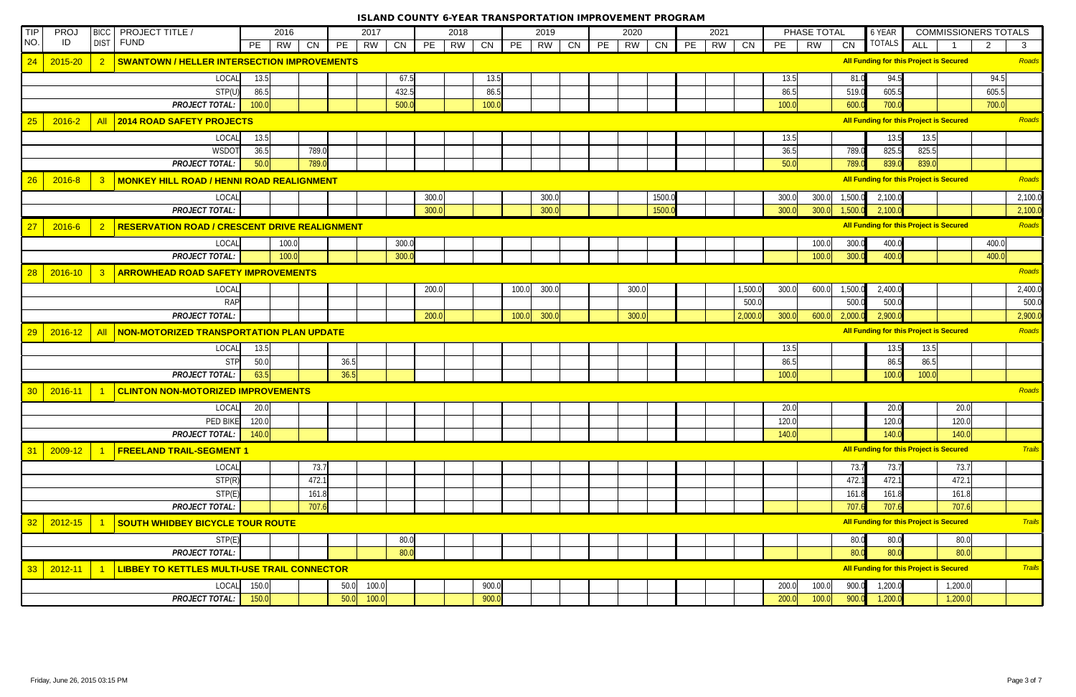| <b>TIP</b> | PRO.        | <b>BICC</b>             | <b>PROJECT TITLE /</b>                               | 2016     |       | 2017                  |      | 2018     |           |       | 2019     |    | 2020            |    | 2021            |       | PHASE TOTAL |         | 6 YEAR                                         |            | <b>COMMISSIONERS TOTALS</b> |               |
|------------|-------------|-------------------------|------------------------------------------------------|----------|-------|-----------------------|------|----------|-----------|-------|----------|----|-----------------|----|-----------------|-------|-------------|---------|------------------------------------------------|------------|-----------------------------|---------------|
| NO.        | ID          | <b>DIST</b>             | FUND                                                 | PE<br>RW | CN    | PE<br><b>RW</b><br>CN |      | PE<br>RW | <b>CN</b> | PE    | RW<br>CN | PE | <b>RW</b><br>CN | PE | CN<br><b>RW</b> | PE    | <b>RW</b>   | CN      | <b>TOTALS</b>                                  | <b>ALL</b> | $\overline{2}$              | $\mathbf{3}$  |
| 24         | 2015-20     | $\mathbf{2}$            | <b>SWANTOWN / HELLER INTERSECTION IMPROVEMENTS</b>   |          |       |                       |      |          |           |       |          |    |                 |    |                 |       |             |         | All Funding for this Project is Secured        |            |                             | Roads         |
|            |             |                         | LOCAL                                                | 13.5     |       |                       | 67.5 |          | 13.5      |       |          |    |                 |    |                 | 13.5  |             | 81.0    | 94.5                                           |            |                             | 94.5          |
|            |             |                         | STP(U)                                               | 86.5     |       | 432.5                 |      |          | 86.5      |       |          |    |                 |    |                 | 86.5  |             | 519.0   | 605.5                                          |            |                             | 605.5         |
|            |             |                         | <b>PROJECT TOTAL:</b>                                | 100.0    |       | 500.0                 |      |          | 100.0     |       |          |    |                 |    |                 | 100.0 |             | 600.0   | 700.0                                          |            |                             | 700.0         |
| 25         | 2016-2      | <b>All</b>              | 2014 ROAD SAFETY PROJECTS                            |          |       |                       |      |          |           |       |          |    |                 |    |                 |       |             |         | All Funding for this Project is Secured        |            |                             | Roads         |
|            |             |                         | <b>LOCAL</b>                                         | 13.5     |       |                       |      |          |           |       |          |    |                 |    |                 | 13.5  |             |         | 13.5                                           | 13.5       |                             |               |
|            |             |                         | <b>WSDOT</b>                                         | 36.5     | 789.0 |                       |      |          |           |       |          |    |                 |    |                 | 36.5  |             | 789.0   | 825.5                                          | 825.5      |                             |               |
|            |             |                         | <b>PROJECT TOTAL:</b>                                | 50.0     | 789.0 |                       |      |          |           |       |          |    |                 |    |                 | 50.0  |             | 789.0   | 839.0                                          | 839.0      |                             |               |
| 26         | 2016-8      | 3 <sup>2</sup>          | <b>MONKEY HILL ROAD / HENNI ROAD REALIGNMENT</b>     |          |       |                       |      |          |           |       |          |    |                 |    |                 |       |             |         | <b>All Funding for this Project is Secured</b> |            |                             | Roads         |
|            |             |                         | LOCAL                                                |          |       |                       |      | 300.0    |           |       | 300.0    |    | 1500.0          |    |                 | 300.0 | 300.0       | 1,500.0 | 2,100.0                                        |            |                             | 2,100.0       |
|            |             |                         | <b>PROJECT TOTAL:</b>                                |          |       |                       |      | 300.0    |           |       | 300.0    |    | 1500.0          |    |                 | 300.0 | 300.0       | 1,500.0 | 2,100.0                                        |            |                             | 2,100.0       |
| 27         | 2016-6      | $\overline{2}$          | <b>RESERVATION ROAD / CRESCENT DRIVE REALIGNMENT</b> |          |       |                       |      |          |           |       |          |    |                 |    |                 |       |             |         | All Funding for this Project is Secured        |            |                             | Roads         |
|            |             |                         | <b>LOCAL</b>                                         | 100.0    |       | 300.0                 |      |          |           |       |          |    |                 |    |                 |       | 100.0       | 300.0   | 400.0                                          |            |                             | 400.0         |
|            |             |                         | <b>PROJECT TOTAL:</b>                                | 100.0    |       | 300.                  |      |          |           |       |          |    |                 |    |                 |       | 100.0       | 300.0   | 400.0                                          |            |                             | 400.0         |
| 28         | 2016-10     | $\overline{\mathbf{3}}$ | <b>ARROWHEAD ROAD SAFETY IMPROVEMENTS</b>            |          |       |                       |      |          |           |       |          |    |                 |    |                 |       |             |         |                                                |            |                             | Roads         |
|            |             |                         | LOCAL                                                |          |       |                       |      | 200.0    |           | 100.0 | 300.0    |    | 300.0           |    | 1,500.0         | 300.0 | 600.0       | 1,500.0 | 2,400.0                                        |            |                             | 2,400.0       |
|            |             |                         | <b>RAP</b>                                           |          |       |                       |      |          |           |       |          |    |                 |    | 500.0           |       |             | 500.0   | 500.0                                          |            |                             | 500.0         |
|            |             |                         | <b>PROJECT TOTAL:</b>                                |          |       |                       |      | 200.0    |           | 100.0 | 300.0    |    | 300.0           |    | 2,000.0         | 300.0 | 600.0       | 2,000.  | 2,900.0                                        |            |                             | 2,900.0       |
| 29         | 2016-12     | <b>All</b>              | NON-MOTORIZED TRANSPORTATION PLAN UPDATE             |          |       |                       |      |          |           |       |          |    |                 |    |                 |       |             |         | All Funding for this Project is Secured        |            |                             | Roads         |
|            |             |                         | <b>LOCAL</b>                                         | 13.5     |       |                       |      |          |           |       |          |    |                 |    |                 | 13.5  |             |         | 13.5                                           | 13.5       |                             |               |
|            |             |                         | <b>STP</b>                                           | 50.0     |       | 36.5                  |      |          |           |       |          |    |                 |    |                 | 86.5  |             |         | 86.5                                           | 86.5       |                             |               |
|            |             |                         | <b>PROJECT TOTAL:</b>                                | 63.5     |       | 36.5                  |      |          |           |       |          |    |                 |    |                 | 100.0 |             |         | 100.0                                          | 100.0      |                             |               |
| 30         | $2016 - 11$ |                         | <b>CLINTON NON-MOTORIZED IMPROVEMENTS</b>            |          |       |                       |      |          |           |       |          |    |                 |    |                 |       |             |         |                                                |            |                             | Roads         |
|            |             |                         | LOCAL                                                | 20.0     |       |                       |      |          |           |       |          |    |                 |    |                 | 20.0  |             |         | 20.0                                           |            | 20.0                        |               |
|            |             |                         | PED BIKE                                             | 120.0    |       |                       |      |          |           |       |          |    |                 |    |                 | 120.0 |             |         | 120.0                                          |            | 120.0                       |               |
|            |             |                         | <b>PROJECT TOTAL:</b>                                | 140.0    |       |                       |      |          |           |       |          |    |                 |    |                 | 140.0 |             |         | 140.0                                          |            | 140.0                       |               |
| 31         | $2009 - 12$ |                         | <b>FREELAND TRAIL-SEGMENT 1</b>                      |          |       |                       |      |          |           |       |          |    |                 |    |                 |       |             |         | All Funding for this Project is Secured        |            |                             | <b>Trails</b> |
|            |             |                         | LOCAL                                                |          | 73.7  |                       |      |          |           |       |          |    |                 |    |                 |       |             | 73.7    | 73.7                                           |            | 73.7                        |               |
|            |             |                         | STP(R)                                               |          | 472.7 |                       |      |          |           |       |          |    |                 |    |                 |       |             | 472.1   | 472.1                                          |            | 472.1                       |               |
|            |             |                         | STP(E)                                               |          | 161.8 |                       |      |          |           |       |          |    |                 |    |                 |       |             | 161.8   | 161.8                                          |            | 161.8                       |               |
|            |             |                         | <b>PROJECT TOTAL:</b>                                |          | 707.6 |                       |      |          |           |       |          |    |                 |    |                 |       |             | 707.6   | 707.6                                          |            | 707.6                       |               |
| 32         | $2012 - 15$ |                         | <b>SOUTH WHIDBEY BICYCLE TOUR ROUTE</b>              |          |       |                       |      |          |           |       |          |    |                 |    |                 |       |             |         | All Funding for this Project is Secured        |            |                             | <b>Trails</b> |
|            |             |                         | STP(E)                                               |          |       |                       | 80.0 |          |           |       |          |    |                 |    |                 |       |             | 80.0    | 80.0                                           |            | 80.0                        |               |
|            |             |                         | <b>PROJECT TOTAL:</b>                                |          |       |                       | 80.0 |          |           |       |          |    |                 |    |                 |       |             | 80.0    | 80.0                                           |            | 80.0                        |               |
| 33         | $2012 - 11$ |                         | <b>LIBBEY TO KETTLES MULTI-USE TRAIL CONNECTOR</b>   |          |       |                       |      |          |           |       |          |    |                 |    |                 |       |             |         | All Funding for this Project is Secured        |            |                             | <b>Trails</b> |
|            |             |                         | LOCAL                                                | 150.0    |       | 100.0<br>50.0         |      |          | 900.0     |       |          |    |                 |    |                 | 200.0 | 100.0       | 900.0   | 1,200.0                                        |            | 1,200.0                     |               |
|            |             |                         | <b>PROJECT TOTAL:</b>                                | 150.0    |       | $ 50.0 $ 100.0        |      |          | 900.0     |       |          |    |                 |    |                 | 200.0 | 100.0       | 900.0   | 1,200.0                                        |            | 1,200.0                     |               |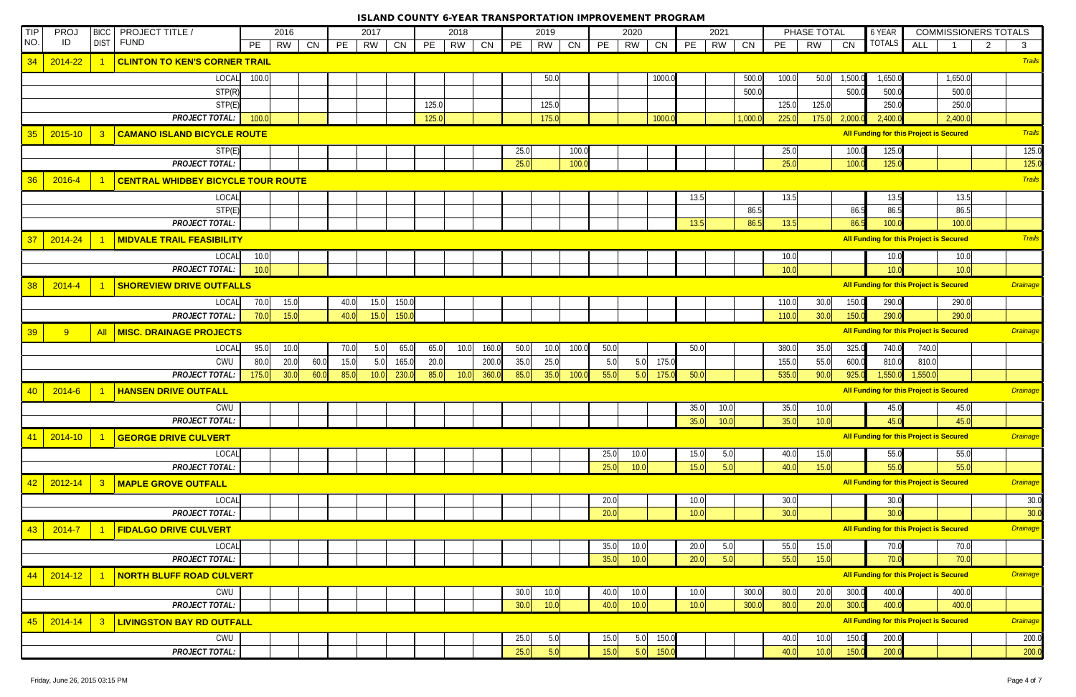| <b>TIP</b> | PRO.        | <b>BICC</b>             | <b>PROJECT TITLE /</b>                    |       | 2016      |      |      | 2017      |       |       | 2018 |       |      | 2019      |           |      | 2020 |           |      | 2021 |         |       | PHASE TOTAL |         | 6 YEAR                                         |         |         | <b>COMMISSIONERS TOTALS</b>    |
|------------|-------------|-------------------------|-------------------------------------------|-------|-----------|------|------|-----------|-------|-------|------|-------|------|-----------|-----------|------|------|-----------|------|------|---------|-------|-------------|---------|------------------------------------------------|---------|---------|--------------------------------|
| NO.        | ID          | <b>DIST</b>             | <b>FUND</b>                               | PE    | <b>RW</b> | CN   | PE   | <b>RW</b> | CN    | PE    | RW   | CN    | PE   | <b>RW</b> | <b>CN</b> | PE   | RW   | CN        | PE   | RW   | CN      | PE    | <b>RW</b>   | CN      | <b>TOTALS</b>                                  | ALL     |         | $\overline{2}$<br>$\mathbf{3}$ |
| 34         | 2014-22     |                         | <b>CLINTON TO KEN'S CORNER TRAIL</b>      |       |           |      |      |           |       |       |      |       |      |           |           |      |      |           |      |      |         |       |             |         |                                                |         |         | Trails                         |
|            |             |                         | LOCAL                                     | 100.0 |           |      |      |           |       |       |      |       |      | 50.0      |           |      |      | 1000.0    |      |      | 500.0   | 100.0 | 50.0        | 1,500.0 | 1,650.0                                        |         | 1,650.0 |                                |
|            |             |                         | STP(R)                                    |       |           |      |      |           |       |       |      |       |      |           |           |      |      |           |      |      | 500.0   |       |             | 500.0   | 500.0                                          |         | 500.0   |                                |
|            |             |                         | STP(E)                                    |       |           |      |      |           |       | 125.0 |      |       |      | 125.0     |           |      |      |           |      |      |         | 125.0 | 125.0       |         | 250.0                                          |         | 250.0   |                                |
|            |             |                         | <b>PROJECT TOTAL:</b>                     | 100.0 |           |      |      |           |       | 125.0 |      |       |      | 175.0     |           |      |      | 1000.0    |      |      | 1,000.0 | 225.0 | 175.0       | 2,000.  | 2,400.0                                        |         | 2,400.0 |                                |
| 35         | $2015 - 10$ | $\mathbf{3}$            | <b>CAMANO ISLAND BICYCLE ROUTE</b>        |       |           |      |      |           |       |       |      |       |      |           |           |      |      |           |      |      |         |       |             |         | All Funding for this Project is Secured        |         |         | <b>Trails</b>                  |
|            |             |                         | STP(E)                                    |       |           |      |      |           |       |       |      |       | 25.0 |           | 100.0     |      |      |           |      |      |         | 25.0  |             | 100.0   | 125.0                                          |         |         | 125.0                          |
|            |             |                         | <b>PROJECT TOTAL:</b>                     |       |           |      |      |           |       |       |      |       | 25.0 |           | 100.0     |      |      |           |      |      |         | 25.0  |             | 100.0   | 125.0                                          |         |         | 125.0                          |
|            | 2016-4      |                         | <b>CENTRAL WHIDBEY BICYCLE TOUR ROUTE</b> |       |           |      |      |           |       |       |      |       |      |           |           |      |      |           |      |      |         |       |             |         |                                                |         |         | <b>Trails</b>                  |
|            |             |                         | LOCAL                                     |       |           |      |      |           |       |       |      |       |      |           |           |      |      |           | 13.5 |      |         | 13.5  |             |         | 13.5                                           |         | 13.5    |                                |
|            |             |                         | STP(E)                                    |       |           |      |      |           |       |       |      |       |      |           |           |      |      |           |      |      | 86.5    |       |             | 86.5    | 86.5                                           |         | 86.5    |                                |
|            |             |                         | <b>PROJECT TOTAL:</b>                     |       |           |      |      |           |       |       |      |       |      |           |           |      |      |           | 13.5 |      | 86.5    | 13.5  |             | 86.5    | 100.0                                          |         | 100.0   |                                |
| 37         | 2014-24     |                         | <b>MIDVALE TRAIL FEASIBILITY</b>          |       |           |      |      |           |       |       |      |       |      |           |           |      |      |           |      |      |         |       |             |         | All Funding for this Project is Secured        |         |         | <b>Trails</b>                  |
|            |             |                         | LOCAL                                     | 10.0  |           |      |      |           |       |       |      |       |      |           |           |      |      |           |      |      |         | 10.0  |             |         | 10.0                                           |         | 10.0    |                                |
|            |             |                         | <b>PROJECT TOTAL:</b>                     | 10.0  |           |      |      |           |       |       |      |       |      |           |           |      |      |           |      |      |         | 10.0  |             |         | 10.0                                           |         | 10.0    |                                |
| 38         | $2014 - 4$  |                         | <b>SHOREVIEW DRIVE OUTFALLS</b>           |       |           |      |      |           |       |       |      |       |      |           |           |      |      |           |      |      |         |       |             |         | All Funding for this Project is Secured        |         |         | <b>Drainage</b>                |
|            |             |                         | LOCAL                                     | 70.0  | 15.0      |      | 40.0 | 15.0      | 150.0 |       |      |       |      |           |           |      |      |           |      |      |         | 110.0 | 30.0        | 150.0   | 290.0                                          |         | 290.0   |                                |
|            |             |                         | <b>PROJECT TOTAL:</b>                     | 70.0  | 15.0      |      | 40.0 | 15.0      | 150.0 |       |      |       |      |           |           |      |      |           |      |      |         | 110.0 | 30.0        | 150.0   | 290.0                                          |         | 290.0   |                                |
| 39         | 9           | <b>All</b>              | <b>MISC. DRAINAGE PROJECTS</b>            |       |           |      |      |           |       |       |      |       |      |           |           |      |      |           |      |      |         |       |             |         | All Funding for this Project is Secured        |         |         | <b>Drainage</b>                |
|            |             |                         | LOCAL                                     | 95.0  | 10.0      |      | 70.0 | 5.0       | 65.0  | 65.0  | 10.0 | 160.0 | 50.0 | 10.0      | 100.0     | 50.0 |      |           | 50.0 |      |         | 380.0 | 35.0        | 325.0   | 740.0                                          | 740.0   |         |                                |
|            |             |                         | CWU                                       | 80.0  | 20.0      | 60.0 | 15.0 | 5.0       | 165.0 | 20.0  |      | 200.0 | 35.0 | 25.0      |           | 5.0  | 5.0  | 175.0     |      |      |         | 155.0 | 55.0        | 600.0   | 810.0                                          | 810.0   |         |                                |
|            |             |                         | <b>PROJECT TOTAL:</b>                     | 175.0 | 30.0      | 60.0 | 85.0 | 10.0      | 230.0 | 85.0  | 10.0 | 360.0 | 85.0 | 35.0      | 100.0     | 55.0 | 5.0  | 175.0     | 50.0 |      |         | 535.0 | 90.0        | 925.0   | 1,550.0                                        | 1,550.0 |         |                                |
| 40         | $2014 - 6$  |                         | <b>HANSEN DRIVE OUTFALL</b>               |       |           |      |      |           |       |       |      |       |      |           |           |      |      |           |      |      |         |       |             |         | <b>All Funding for this Project is Secured</b> |         |         | <b>Drainage</b>                |
|            |             |                         | CWU                                       |       |           |      |      |           |       |       |      |       |      |           |           |      |      |           | 35.0 | 10.0 |         | 35.0  | 10.0        |         | 45.0                                           |         | 45.0    |                                |
|            |             |                         | PROJECT TOTAL:                            |       |           |      |      |           |       |       |      |       |      |           |           |      |      |           | 35.0 | 10.0 |         | 35.0  | 10.0        |         | 45.0                                           |         | 45.0    |                                |
| 41         | $2014 - 10$ |                         | <b>GEORGE DRIVE CULVERT</b>               |       |           |      |      |           |       |       |      |       |      |           |           |      |      |           |      |      |         |       |             |         | All Funding for this Project is Secured        |         |         | <b>Drainage</b>                |
|            |             |                         | LOCAL                                     |       |           |      |      |           |       |       |      |       |      |           |           | 25.0 | 10.0 |           | 15.0 | 5.0  |         | 40.0  | 15.0        |         | 55.0                                           |         | 55.0    |                                |
|            |             |                         | <b>PROJECT TOTAL:</b>                     |       |           |      |      |           |       |       |      |       |      |           |           | 25.0 | 10.0 |           | 15.0 | 5.0  |         | 40.0  | 15.0        |         | 55.0                                           |         | 55.0    |                                |
| 42         | $2012 - 14$ | $\overline{3}$          | <b>MAPLE GROVE OUTFALL</b>                |       |           |      |      |           |       |       |      |       |      |           |           |      |      |           |      |      |         |       |             |         | All Funding for this Project is Secured        |         |         | <b>Drainage</b>                |
|            |             |                         | LOCAL                                     |       |           |      |      |           |       |       |      |       |      |           |           | 20.0 |      |           | 10.0 |      |         | 30.0  |             |         | 30.0                                           |         |         | 30.0                           |
|            |             |                         | <b>PROJECT TOTAL:</b>                     |       |           |      |      |           |       |       |      |       |      |           |           | 20.0 |      |           | 10.0 |      |         | 30.0  |             |         | 30.0                                           |         |         | 30.0                           |
| 43         | 2014-7      |                         | <b>FIDALGO DRIVE CULVERT</b>              |       |           |      |      |           |       |       |      |       |      |           |           |      |      |           |      |      |         |       |             |         | All Funding for this Project is Secured        |         |         | <b>Drainage</b>                |
|            |             |                         | LOCAL                                     |       |           |      |      |           |       |       |      |       |      |           |           | 35.0 | 10.0 |           | 20.0 | 5.0  |         | 55.0  | 15.0        |         | 70.0                                           |         | 70.0    |                                |
|            |             |                         | <b>PROJECT TOTAL:</b>                     |       |           |      |      |           |       |       |      |       |      |           |           | 35.0 | 10.0 |           | 20.0 | 5.0  |         | 55.0  | 15.0        |         | 70.0                                           |         | 70.0    |                                |
|            | $2014 - 12$ |                         | <b>NORTH BLUFF ROAD CULVERT</b>           |       |           |      |      |           |       |       |      |       |      |           |           |      |      |           |      |      |         |       |             |         | All Funding for this Project is Secured        |         |         | <b>Drainage</b>                |
|            |             |                         | CWU                                       |       |           |      |      |           |       |       |      |       | 30.0 | 10.0      |           | 40.0 | 10.0 |           | 10.0 |      | 300.0   | 80.0  | 20.0        | 300.0   | 400.0                                          |         | 400.0   |                                |
|            |             |                         | <b>PROJECT TOTAL:</b>                     |       |           |      |      |           |       |       |      |       | 30.0 | 10.0      |           | 40.0 | 10.0 |           | 10.0 |      | 300.0   | 80.0  | 20.0        | 300.0   | 400.0                                          |         | 400.0   |                                |
| 45         | 2014-14     | $\overline{\mathbf{3}}$ | <b>LIVINGSTON BAY RD OUTFALL</b>          |       |           |      |      |           |       |       |      |       |      |           |           |      |      |           |      |      |         |       |             |         | All Funding for this Project is Secured        |         |         | <b>Drainage</b>                |
|            |             |                         | CWU                                       |       |           |      |      |           |       |       |      |       | 25.0 | 5.0       |           | 15.0 |      | 5.0 150.0 |      |      |         | 40.0  | 10.0        | 150.0   | 200.0                                          |         |         | 200.0                          |
|            |             |                         | <b>PROJECT TOTAL:</b>                     |       |           |      |      |           |       |       |      |       | 25.0 | 5.0       |           | 15.0 | 5.0  | 150.0     |      |      |         | 40.0  | 10.0        | 150.0   | 200.0                                          |         |         | 200.0                          |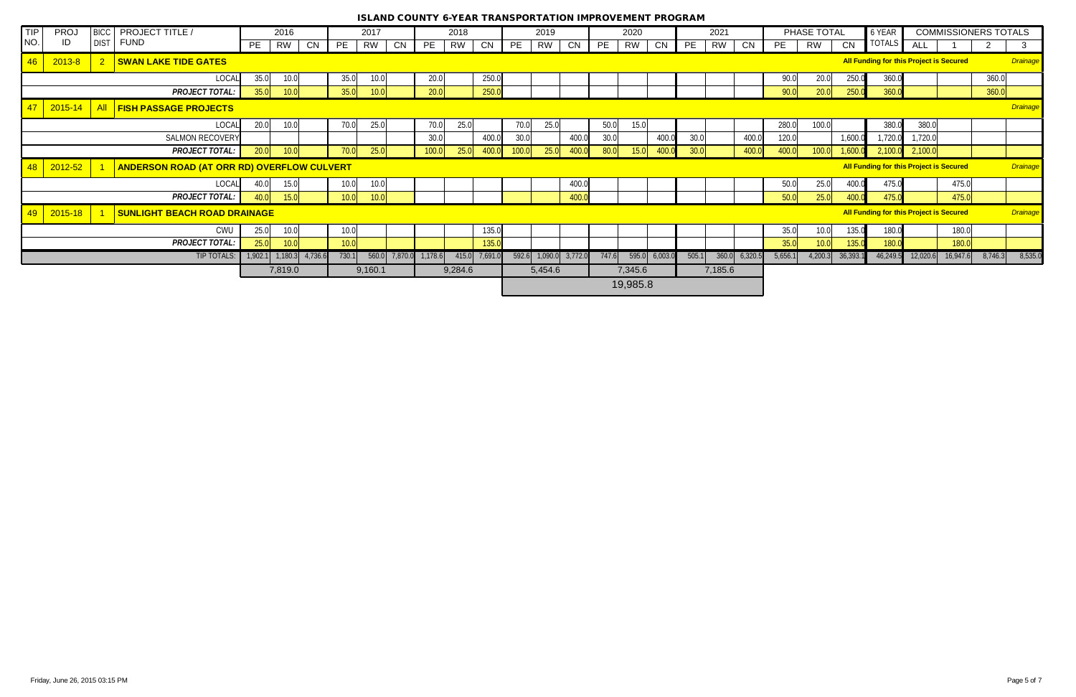| <b>TIP</b> | PRO.                    |             | <b>PROJECT TITLE /</b>                            |           | 2016      |         |       | 2017    |    |                       | 2018    |         |       | 2019            |       | 2020      |               |       | 2021      |               |         | PHASE TOTAL |           | 6 YEAR                                  |            | <b>COMMISSIONERS TOTALS</b> |                       |                       |
|------------|-------------------------|-------------|---------------------------------------------------|-----------|-----------|---------|-------|---------|----|-----------------------|---------|---------|-------|-----------------|-------|-----------|---------------|-------|-----------|---------------|---------|-------------|-----------|-----------------------------------------|------------|-----------------------------|-----------------------|-----------------------|
| NO.        | ID                      | <b>DIST</b> | <b>FUND</b>                                       | <b>PE</b> | <b>RW</b> | CN      | PE    | RW      | CN | PE                    | RW      | CN      | PE    | CN<br>RW        | PE    | <b>RW</b> | CN            | PE    | <b>RW</b> | CN            | PE      | <b>RW</b>   | <b>CN</b> | <b>TOTALS</b>                           | <b>ALL</b> |                             | $\mathbf{2}^{\prime}$ | $\mathbf{3}$          |
| 46         | $2013 - 8$              |             | <b>SWAN LAKE TIDE GATES</b>                       |           |           |         |       |         |    |                       |         |         |       |                 |       |           |               |       |           |               |         |             |           | All Funding for this Project is Secured |            |                             |                       | <b>Drainage</b>       |
|            |                         |             | LOCAL                                             | 35.0      | 10.0      |         | 35.0  | 10.0    |    | 20.0                  |         | 250.0   |       |                 |       |           |               |       |           |               | 90.0    | 20.0        | 250.0     | 360.0                                   |            |                             | 360.0                 |                       |
|            |                         |             | <b>PROJECT TOTAL:</b>                             | 35.0      | 10.0      |         | 35.0  | 10.0    |    | 20.0                  |         | 250.0   |       |                 |       |           |               |       |           |               | 90.0    | 20.0        | 250.0     | 360.0                                   |            |                             | 360.0                 |                       |
|            | 47 2015-14              | AII         | <b>FISH PASSAGE PROJECTS</b>                      |           |           |         |       |         |    |                       |         |         |       |                 |       |           |               |       |           |               |         |             |           |                                         |            |                             |                       | Drainage <sup>1</sup> |
|            |                         |             | LOCAL                                             | 20.0      | 10.0      |         | 70.0  | 25.0    |    | 70.0                  | 25.0    |         | 70.0  | 25.0            | 50.0  | 15.0      |               |       |           |               | 280.0   | 100.0       |           | 380.0                                   | 380.0      |                             |                       |                       |
|            |                         |             | <b>SALMON RECOVERY</b>                            |           |           |         |       |         |    | 30.0                  |         | 400.0   | 30.0  | 400.0           | 30.0  |           | 400.0         | 30.0  |           | 400.0         | 120.0   |             | 1,600.0   | 1,720.0                                 | ,720.0     |                             |                       |                       |
|            |                         |             | <b>PROJECT TOTAL:</b>                             | 20.0      | 10.0      |         | 70.0  | 25.0    |    | 100.0                 | 25.0    | 400.0   | 100.0 | 25.0<br>400.0   | 80.0  | 15.0      | 400.0         | 30.0  |           | 400.0         | 400.0   | 100.0       | 1,600.0   | 2,100.0                                 | 2,100.0    |                             |                       |                       |
|            |                         |             |                                                   |           |           |         |       |         |    |                       |         |         |       |                 |       |           |               |       |           |               |         |             |           |                                         |            |                             |                       |                       |
|            | 48 2012-52              |             | <b>ANDERSON ROAD (AT ORR RD) OVERFLOW CULVERT</b> |           |           |         |       |         |    |                       |         |         |       |                 |       |           |               |       |           |               |         |             |           | All Funding for this Project is Secured |            |                             |                       | <b>Drainage</b>       |
|            |                         |             | <b>LOCAL</b>                                      | 40.0      | 15.0      |         | 10.0  | 10.0    |    |                       |         |         |       | 400.0           |       |           |               |       |           |               | 50.0    | 25.0        | 400.0     | 475.0                                   |            | 475.0                       |                       |                       |
|            |                         |             | <b>PROJECT TOTAL:</b>                             | 40.0      | 15.0      |         | 10.0  | 10.0    |    |                       |         |         |       | 400.0           |       |           |               |       |           |               | 50.0    | 25.0        | 400.0     | 475.0                                   |            | 475.0                       |                       |                       |
|            | <mark>49 2015-18</mark> |             | <b>SUNLIGHT BEACH ROAD DRAINAGE</b>               |           |           |         |       |         |    |                       |         |         |       |                 |       |           |               |       |           |               |         |             |           | All Funding for this Project is Secured |            |                             |                       | <b>Drainage</b>       |
|            |                         |             | <b>CWU</b>                                        | 25.0      | 10.0      |         | 10.0  |         |    |                       |         | 135.0   |       |                 |       |           |               |       |           |               | 35.0    | 10.0        | 135.0     | 180.0                                   |            | 180.0                       |                       |                       |
|            |                         |             | <b>PROJECT TOTAL:</b>                             | 25.0      | 10.0      |         | 10.0  |         |    |                       |         | 135.0   |       |                 |       |           |               |       |           |               | 35.0    | 10.0        | 135.0     | 180.0                                   |            | 180.0                       |                       |                       |
|            |                         |             | TIP TOTALS:                                       | 1,902.1   | 1,180.3   | 4,736.6 | 730.1 |         |    | 560.0 7,870.0 1,178.6 | 415.0   | 7,691.0 | 592.6 | 1,090.0 3,772.0 | 747.6 |           | 595.0 6,003.0 | 505.1 |           | 360.0 6,320.5 | 5,656.1 | 4,200.3     | 36,393.1  | 46,249.5                                | 12,020.6   | 16,947.6                    | 8,746.3               | 8,535.0               |
|            |                         |             |                                                   |           | 7,819.0   |         |       | 9,160.1 |    |                       | 9,284.6 |         |       | 5,454.6         |       | 7,345.6   |               |       | 7,185.6   |               |         |             |           |                                         |            |                             |                       |                       |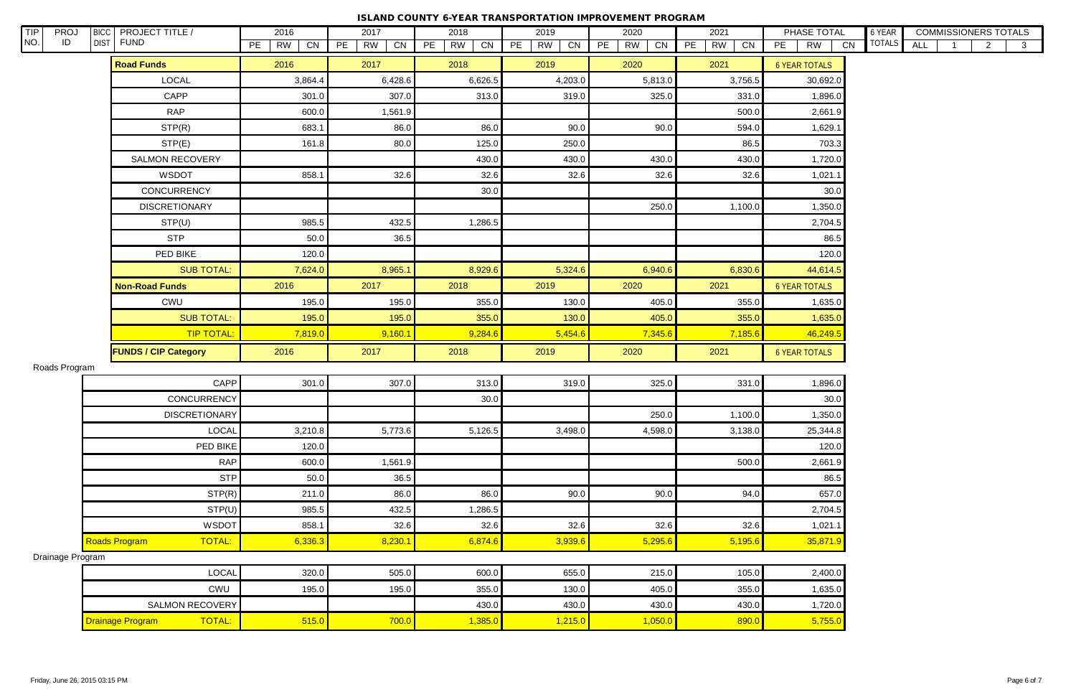| TIP<br>PROJ<br>BICC      | <b>PROJECT TITLE /</b>                | 2016                  | 2017                  | 2018                  | 2019                  | 2020                  | 2021           | PHASE TOTAL           | 6 YEAR<br><b>COMMISSIONERS TOTALS</b>                                    |
|--------------------------|---------------------------------------|-----------------------|-----------------------|-----------------------|-----------------------|-----------------------|----------------|-----------------------|--------------------------------------------------------------------------|
| NO.<br>ID<br><b>DIST</b> | <b>FUND</b>                           | PE<br><b>RW</b><br>CN | PE<br>CN<br><b>RW</b> | PE<br><b>RW</b><br>CN | PE<br><b>RW</b><br>CN | PE<br>CN<br><b>RW</b> | PE<br>RW<br>CN | CN<br>PE<br><b>RW</b> | TOTALS <sup>T</sup><br>ALL<br>$2\overline{ }$<br>$\overline{\mathbf{1}}$ |
|                          | <b>Road Funds</b>                     | 2016                  | 2017                  | 2018                  | 2019                  | 2020                  | 2021           | <b>6 YEAR TOTALS</b>  |                                                                          |
|                          | <b>LOCAL</b>                          | 3,864.4               | 6,428.6               | 6,626.5               | 4,203.0               | 5,813.0               | 3,756.5        | 30,692.0              |                                                                          |
|                          | CAPP                                  | 301.0                 | 307.0                 | 313.0                 | 319.0                 | 325.0                 | 331.0          | 1,896.0               |                                                                          |
|                          | <b>RAP</b>                            | 600.0                 | 1,561.9               |                       |                       |                       | 500.0          | 2,661.9               |                                                                          |
|                          | STP(R)                                | 683.1                 | 86.0                  | 86.0                  | 90.0                  | 90.0                  | 594.0          | 1,629.1               |                                                                          |
|                          | STP(E)                                | 161.8                 | 80.0                  | 125.0                 | 250.0                 |                       | 86.5           | 703.3                 |                                                                          |
|                          | <b>SALMON RECOVERY</b>                |                       |                       | 430.0                 | 430.0                 | 430.0                 | 430.0          | 1,720.0               |                                                                          |
|                          | <b>WSDOT</b>                          | 858.1                 | 32.6                  | 32.6                  | 32.6                  | 32.6                  | 32.6           | 1,021.1               |                                                                          |
|                          | <b>CONCURRENCY</b>                    |                       |                       | 30.0                  |                       |                       |                | 30.0                  |                                                                          |
|                          | <b>DISCRETIONARY</b>                  |                       |                       |                       |                       | 250.0                 | 1,100.0        | 1,350.0               |                                                                          |
|                          | STP(U)                                | 985.5                 | 432.5                 | 1,286.5               |                       |                       |                | 2,704.5               |                                                                          |
|                          | <b>STP</b>                            | 50.0                  | 36.5                  |                       |                       |                       |                | 86.5                  |                                                                          |
|                          | PED BIKE                              | 120.0                 |                       |                       |                       |                       |                | 120.0                 |                                                                          |
|                          | <b>SUB TOTAL:</b>                     | 7,624.0               | 8,965.1               | 8,929.6               | 5,324.6               | 6,940.6               | 6,830.6        | 44,614.5              |                                                                          |
|                          | <b>Non-Road Funds</b>                 | 2016                  | 2017                  | 2018                  | 2019                  | 2020                  | 2021           | <b>6 YEAR TOTALS</b>  |                                                                          |
|                          | CWU                                   | 195.0                 | 195.0                 | 355.0                 | 130.0                 | 405.0                 | 355.0          | 1,635.0               |                                                                          |
|                          | <b>SUB TOTAL:</b>                     | 195.0                 | 195.0                 | 355.0                 | 130.0                 | 405.0                 | 355.0          | 1,635.0               |                                                                          |
|                          | TIP TOTAL:                            | 7,819.0               | 9,160.1               | 9,284.6               | 5,454.6               | 7,345.6               | 7,185.6        | 46,249.5              |                                                                          |
|                          | <b>FUNDS / CIP Category</b>           | 2016                  | 2017                  | 2018                  | 2019                  | 2020                  | 2021           | <b>6 YEAR TOTALS</b>  |                                                                          |
| Roads Program            |                                       |                       |                       |                       |                       |                       |                |                       |                                                                          |
|                          | CAPP                                  | 301.0                 | 307.0                 | 313.0                 | 319.0                 | 325.0                 | 331.0          | 1,896.0               |                                                                          |
|                          | <b>CONCURRENCY</b>                    |                       |                       | 30.0                  |                       |                       |                | 30.0                  |                                                                          |
|                          | <b>DISCRETIONARY</b>                  |                       |                       |                       |                       | 250.0                 | 1,100.0        | 1,350.0               |                                                                          |
|                          | <b>LOCAL</b>                          | 3,210.8               | 5,773.6               | 5,126.5               | 3,498.0               | 4,598.0               | 3,138.0        | 25,344.8              |                                                                          |
|                          | PED BIKE                              | 120.0                 |                       |                       |                       |                       |                | 120.0                 |                                                                          |
|                          | <b>RAP</b>                            | 600.0                 | 1,561.9               |                       |                       |                       | 500.0          | 2,661.9               |                                                                          |
|                          | <b>STP</b>                            | 50.0                  | 36.5                  |                       |                       |                       |                | 86.5                  |                                                                          |
|                          |                                       |                       |                       | 86.0                  | 90.0                  | 90.0                  | 94.0           | 657.0                 |                                                                          |
|                          | STP(R)                                | 211.0                 | 86.0                  |                       |                       |                       |                |                       |                                                                          |
|                          | STP(U)                                | 985.5                 | 432.5                 | 1,286.5               |                       |                       |                | 2,704.5               |                                                                          |
|                          | <b>WSDOT</b>                          | 858.1                 | 32.6                  | 32.6                  | 32.6                  | 32.6                  | 32.6           | 1,021.1               |                                                                          |
|                          | <b>TOTAL:</b><br><b>Roads Program</b> | 6,336.3               | 8,230.1               | 6,874.6               | 3,939.6               | 5,295.6               | 5,195.6        | 35,871.9              |                                                                          |
|                          |                                       |                       |                       |                       |                       |                       |                |                       |                                                                          |
|                          | <b>LOCAL</b>                          | 320.0                 | 505.0                 | 600.0                 | 655.0                 | 215.0                 | 105.0          | 2,400.0               |                                                                          |
|                          | CWU                                   | 195.0                 | 195.0                 | 355.0                 | 130.0                 | 405.0                 | 355.0          | 1,635.0               |                                                                          |
| Drainage Program         | <b>SALMON RECOVERY</b><br>TOTAL:      | 515.0                 | 700.0                 | 430.0<br>1,385.0      | 430.0<br>1,215.0      | 430.0<br>1,050.0      | 430.0<br>890.0 | 1,720.0<br>5,755.0    |                                                                          |